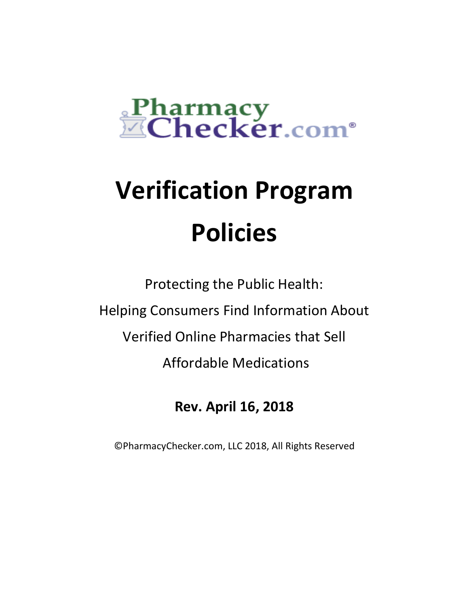

# **Verification Program Policies**

Protecting the Public Health: Helping Consumers Find Information About Verified Online Pharmacies that Sell Affordable Medications

# **Rev. April 16, 2018**

©PharmacyChecker.com, LLC 2018, All Rights Reserved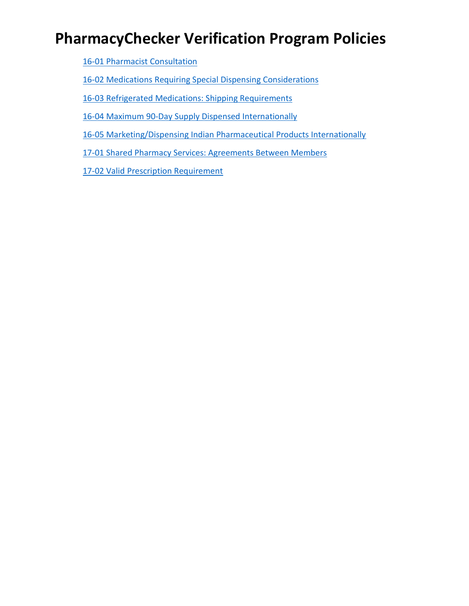# **PharmacyChecker Verification Program Policies**

[16-01 Pharmacist Consultation](#page-2-0)

[16-02 Medications Requiring Special Dispensing Considerations](#page-4-0)

16-03 Refrigerated [Medications: Shipping Requirements](#page-10-0)

[16-04 Maximum 90-Day Supply Dispensed Internationally](#page-14-0)

[16-05 Marketing/Dispensing Indian Pharmaceutical Products Internationally](#page-18-0)

17-01 [Shared Pharmacy Services: Agreements Between Members](#page-24-0)

[17-02 Valid Prescription Requirement](#page-34-0)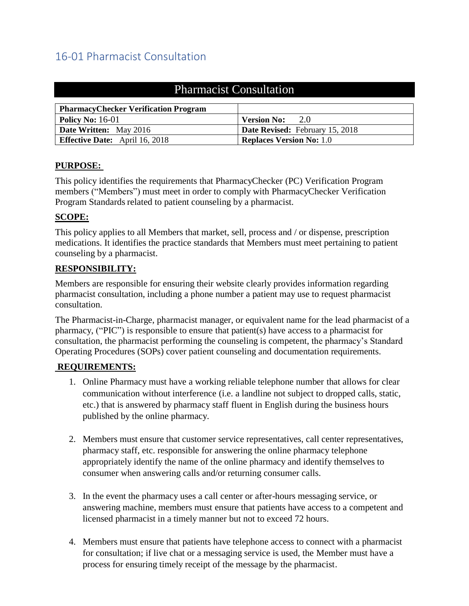# <span id="page-2-0"></span>16-01 Pharmacist Consultation

| <b>Pharmacist Consultation</b>              |                                 |  |  |
|---------------------------------------------|---------------------------------|--|--|
| <b>PharmacyChecker Verification Program</b> |                                 |  |  |
| Policy No: $16-01$                          | 2.0<br><b>Version No:</b>       |  |  |
| <b>Date Written:</b> May 2016               | Date Revised: February 15, 2018 |  |  |
| <b>Effective Date:</b> April 16, 2018       | <b>Replaces Version No: 1.0</b> |  |  |

## **PURPOSE:**

This policy identifies the requirements that PharmacyChecker (PC) Verification Program members ("Members") must meet in order to comply with PharmacyChecker Verification Program Standards related to patient counseling by a pharmacist.

## **SCOPE:**

This policy applies to all Members that market, sell, process and / or dispense, prescription medications. It identifies the practice standards that Members must meet pertaining to patient counseling by a pharmacist.

#### **RESPONSIBILITY:**

Members are responsible for ensuring their website clearly provides information regarding pharmacist consultation, including a phone number a patient may use to request pharmacist consultation.

The Pharmacist-in-Charge, pharmacist manager, or equivalent name for the lead pharmacist of a pharmacy, ("PIC") is responsible to ensure that patient(s) have access to a pharmacist for consultation, the pharmacist performing the counseling is competent, the pharmacy's Standard Operating Procedures (SOPs) cover patient counseling and documentation requirements.

## **REQUIREMENTS:**

- 1. Online Pharmacy must have a working reliable telephone number that allows for clear communication without interference (i.e. a landline not subject to dropped calls, static, etc.) that is answered by pharmacy staff fluent in English during the business hours published by the online pharmacy.
- 2. Members must ensure that customer service representatives, call center representatives, pharmacy staff, etc. responsible for answering the online pharmacy telephone appropriately identify the name of the online pharmacy and identify themselves to consumer when answering calls and/or returning consumer calls.
- 3. In the event the pharmacy uses a call center or after-hours messaging service, or answering machine, members must ensure that patients have access to a competent and licensed pharmacist in a timely manner but not to exceed 72 hours.
- 4. Members must ensure that patients have telephone access to connect with a pharmacist for consultation; if live chat or a messaging service is used, the Member must have a process for ensuring timely receipt of the message by the pharmacist.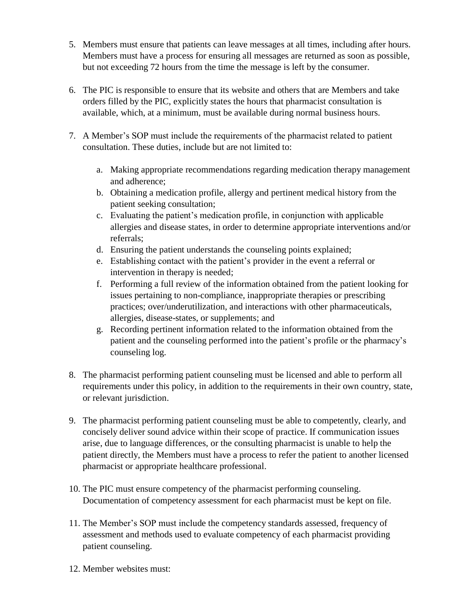- 5. Members must ensure that patients can leave messages at all times, including after hours. Members must have a process for ensuring all messages are returned as soon as possible, but not exceeding 72 hours from the time the message is left by the consumer.
- 6. The PIC is responsible to ensure that its website and others that are Members and take orders filled by the PIC, explicitly states the hours that pharmacist consultation is available, which, at a minimum, must be available during normal business hours.
- 7. A Member's SOP must include the requirements of the pharmacist related to patient consultation. These duties, include but are not limited to:
	- a. Making appropriate recommendations regarding medication therapy management and adherence;
	- b. Obtaining a medication profile, allergy and pertinent medical history from the patient seeking consultation;
	- c. Evaluating the patient's medication profile, in conjunction with applicable allergies and disease states, in order to determine appropriate interventions and/or referrals;
	- d. Ensuring the patient understands the counseling points explained;
	- e. Establishing contact with the patient's provider in the event a referral or intervention in therapy is needed;
	- f. Performing a full review of the information obtained from the patient looking for issues pertaining to non-compliance, inappropriate therapies or prescribing practices; over/underutilization, and interactions with other pharmaceuticals, allergies, disease-states, or supplements; and
	- g. Recording pertinent information related to the information obtained from the patient and the counseling performed into the patient's profile or the pharmacy's counseling log.
- 8. The pharmacist performing patient counseling must be licensed and able to perform all requirements under this policy, in addition to the requirements in their own country, state, or relevant jurisdiction.
- 9. The pharmacist performing patient counseling must be able to competently, clearly, and concisely deliver sound advice within their scope of practice. If communication issues arise, due to language differences, or the consulting pharmacist is unable to help the patient directly, the Members must have a process to refer the patient to another licensed pharmacist or appropriate healthcare professional.
- 10. The PIC must ensure competency of the pharmacist performing counseling. Documentation of competency assessment for each pharmacist must be kept on file.
- 11. The Member's SOP must include the competency standards assessed, frequency of assessment and methods used to evaluate competency of each pharmacist providing patient counseling.
- 12. Member websites must: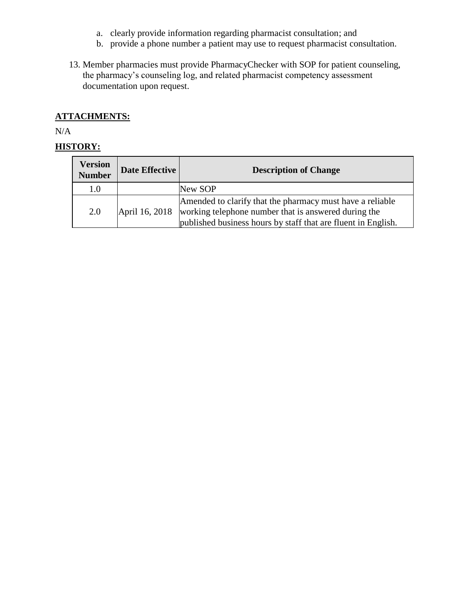- a. clearly provide information regarding pharmacist consultation; and
- b. provide a phone number a patient may use to request pharmacist consultation.
- 13. Member pharmacies must provide PharmacyChecker with SOP for patient counseling, the pharmacy's counseling log, and related pharmacist competency assessment documentation upon request.

# **ATTACHMENTS:**

N/A

<span id="page-4-0"></span>

| <b>Version</b><br><b>Number</b> | Date Effective | <b>Description of Change</b>                                                                                                                                                       |  |
|---------------------------------|----------------|------------------------------------------------------------------------------------------------------------------------------------------------------------------------------------|--|
| $1.0\,$                         |                | New SOP                                                                                                                                                                            |  |
| 2.0                             | April 16, 2018 | Amended to clarify that the pharmacy must have a reliable<br>working telephone number that is answered during the<br>published business hours by staff that are fluent in English. |  |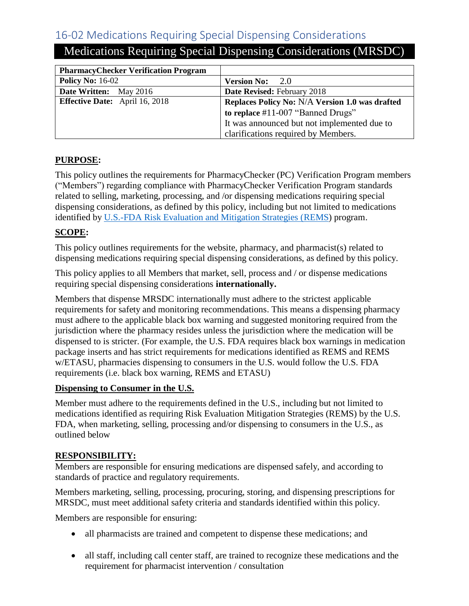# 16-02 Medications Requiring Special Dispensing Considerations

| <b>NEGROUM Negating Special Dispensing Considerations (NINSDC)</b> |                    |  |  |
|--------------------------------------------------------------------|--------------------|--|--|
|                                                                    |                    |  |  |
| <b>PharmacyChecker Verification Program</b>                        |                    |  |  |
| <b>Policy No: 16-02</b>                                            | <b>Version No:</b> |  |  |

# Medications Requiring Special Dispensing Considerations (MRSDC)

# **Policy No:** 16-02 **Version No:** 2.0 **Date Written:** May 2016 **Date Revised:** February 2018 **Effective Date:** April 16, 2018 **Replaces Policy No: N/A Version 1.0 was drafted to replace** #11-007 "Banned Drugs" It was announced but not implemented due to clarifications required by Members.

# **PURPOSE:**

This policy outlines the requirements for PharmacyChecker (PC) Verification Program members ("Members") regarding compliance with PharmacyChecker Verification Program standards related to selling, marketing, processing, and /or dispensing medications requiring special dispensing considerations, as defined by this policy, including but not limited to medications identified by [U.S.-FDA Risk Evaluation and Mitigation Strategies \(REMS\)](https://www.accessdata.fda.gov/scripts/cder/rems/index.cfm) program.

# **SCOPE:**

This policy outlines requirements for the website, pharmacy, and pharmacist(s) related to dispensing medications requiring special dispensing considerations, as defined by this policy.

This policy applies to all Members that market, sell, process and / or dispense medications requiring special dispensing considerations **internationally.**

Members that dispense MRSDC internationally must adhere to the strictest applicable requirements for safety and monitoring recommendations. This means a dispensing pharmacy must adhere to the applicable black box warning and suggested monitoring required from the jurisdiction where the pharmacy resides unless the jurisdiction where the medication will be dispensed to is stricter. (For example, the U.S. FDA requires black box warnings in medication package inserts and has strict requirements for medications identified as REMS and REMS w/ETASU, pharmacies dispensing to consumers in the U.S. would follow the U.S. FDA requirements (i.e. black box warning, REMS and ETASU)

## **Dispensing to Consumer in the U.S.**

Member must adhere to the requirements defined in the U.S., including but not limited to medications identified as requiring Risk Evaluation Mitigation Strategies (REMS) by the U.S. FDA, when marketing, selling, processing and/or dispensing to consumers in the U.S., as outlined below

## **RESPONSIBILITY:**

Members are responsible for ensuring medications are dispensed safely, and according to standards of practice and regulatory requirements.

Members marketing, selling, processing, procuring, storing, and dispensing prescriptions for MRSDC, must meet additional safety criteria and standards identified within this policy.

Members are responsible for ensuring:

- all pharmacists are trained and competent to dispense these medications; and
- all staff, including call center staff, are trained to recognize these medications and the requirement for pharmacist intervention / consultation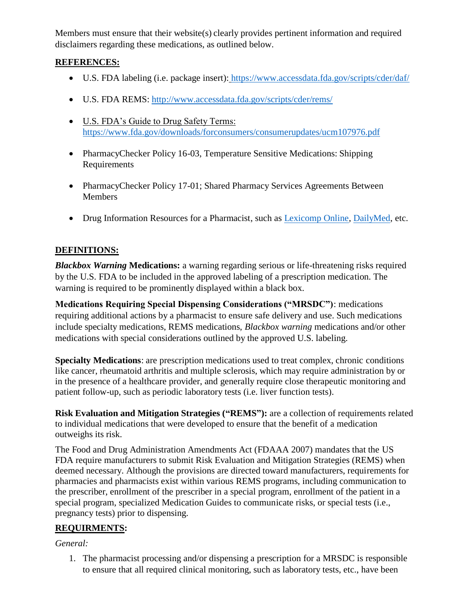Members must ensure that their website(s) clearly provides pertinent information and required disclaimers regarding these medications, as outlined below.

# **REFERENCES:**

- U.S. FDA labeling (i.e. package insert): <https://www.accessdata.fda.gov/scripts/cder/daf/>
- U.S. FDA REMS:<http://www.accessdata.fda.gov/scripts/cder/rems/>
- U.S. FDA's Guide to Drug Safety Terms: <https://www.fda.gov/downloads/forconsumers/consumerupdates/ucm107976.pdf>
- PharmacyChecker Policy 16-03, Temperature Sensitive Medications: Shipping Requirements
- PharmacyChecker Policy 17-01; Shared Pharmacy Services Agreements Between Members
- Drug Information Resources for a Pharmacist, such as **Lexicomp Online**, [DailyMed,](https://dailymed.nlm.nih.gov/dailymed/) etc.

# **DEFINITIONS:**

*Blackbox Warning* **Medications:** a warning regarding serious or life-threatening risks required by the U.S. FDA to be included in the approved labeling of a prescription medication. The warning is required to be prominently displayed within a black box.

**Medications Requiring Special Dispensing Considerations ("MRSDC")**: medications requiring additional actions by a pharmacist to ensure safe delivery and use. Such medications include specialty medications, REMS medications, *Blackbox warning* medications and/or other medications with special considerations outlined by the approved U.S. labeling.

**Specialty Medications**: are prescription medications used to treat complex, chronic conditions like cancer, rheumatoid arthritis and multiple sclerosis, which may require administration by or in the presence of a healthcare provider, and generally require close therapeutic monitoring and patient follow-up, such as periodic laboratory tests (i.e. liver function tests).

**Risk Evaluation and Mitigation Strategies ("REMS"):** are a collection of requirements related to individual medications that were developed to ensure that the benefit of a medication outweighs its risk.

The Food and Drug Administration Amendments Act (FDAAA 2007) mandates that the US FDA require manufacturers to submit Risk Evaluation and Mitigation Strategies (REMS) when deemed necessary. Although the provisions are directed toward manufacturers, requirements for pharmacies and pharmacists exist within various REMS programs, including communication to the prescriber, enrollment of the prescriber in a special program, enrollment of the patient in a special program, specialized Medication Guides to communicate risks, or special tests (i.e., pregnancy tests) prior to dispensing.

# **REQUIRMENTS:**

## *General:*

1. The pharmacist processing and/or dispensing a prescription for a MRSDC is responsible to ensure that all required clinical monitoring, such as laboratory tests, etc., have been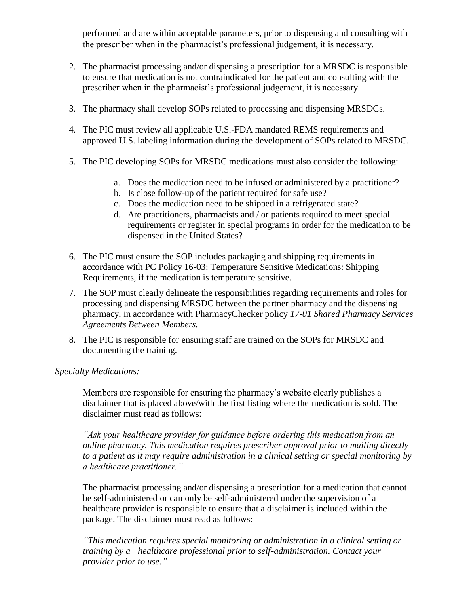performed and are within acceptable parameters, prior to dispensing and consulting with the prescriber when in the pharmacist's professional judgement, it is necessary.

- 2. The pharmacist processing and/or dispensing a prescription for a MRSDC is responsible to ensure that medication is not contraindicated for the patient and consulting with the prescriber when in the pharmacist's professional judgement, it is necessary.
- 3. The pharmacy shall develop SOPs related to processing and dispensing MRSDCs.
- 4. The PIC must review all applicable U.S.-FDA mandated REMS requirements and approved U.S. labeling information during the development of SOPs related to MRSDC.
- 5. The PIC developing SOPs for MRSDC medications must also consider the following:
	- a. Does the medication need to be infused or administered by a practitioner?
	- b. Is close follow-up of the patient required for safe use?
	- c. Does the medication need to be shipped in a refrigerated state?
	- d. Are practitioners, pharmacists and / or patients required to meet special requirements or register in special programs in order for the medication to be dispensed in the United States?
- 6. The PIC must ensure the SOP includes packaging and shipping requirements in accordance with PC Policy 16-03: Temperature Sensitive Medications: Shipping Requirements, if the medication is temperature sensitive.
- 7. The SOP must clearly delineate the responsibilities regarding requirements and roles for processing and dispensing MRSDC between the partner pharmacy and the dispensing pharmacy, in accordance with PharmacyChecker policy *17-01 Shared Pharmacy Services Agreements Between Members.*
- 8. The PIC is responsible for ensuring staff are trained on the SOPs for MRSDC and documenting the training.

*Specialty Medications:*

Members are responsible for ensuring the pharmacy's website clearly publishes a disclaimer that is placed above/with the first listing where the medication is sold. The disclaimer must read as follows:

*"Ask your healthcare provider for guidance before ordering this medication from an online pharmacy. This medication requires prescriber approval prior to mailing directly to a patient as it may require administration in a clinical setting or special monitoring by a healthcare practitioner."*

The pharmacist processing and/or dispensing a prescription for a medication that cannot be self-administered or can only be self-administered under the supervision of a healthcare provider is responsible to ensure that a disclaimer is included within the package. The disclaimer must read as follows:

*"This medication requires special monitoring or administration in a clinical setting or training by a healthcare professional prior to self-administration. Contact your provider prior to use."*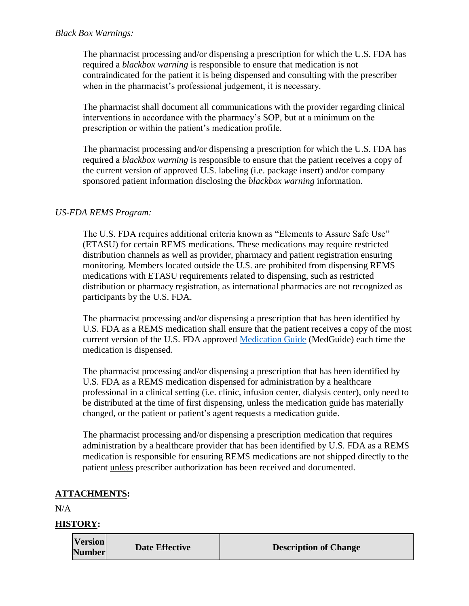The pharmacist processing and/or dispensing a prescription for which the U.S. FDA has required a *blackbox warning* is responsible to ensure that medication is not contraindicated for the patient it is being dispensed and consulting with the prescriber when in the pharmacist's professional judgement, it is necessary.

The pharmacist shall document all communications with the provider regarding clinical interventions in accordance with the pharmacy's SOP, but at a minimum on the prescription or within the patient's medication profile.

The pharmacist processing and/or dispensing a prescription for which the U.S. FDA has required a *blackbox warning* is responsible to ensure that the patient receives a copy of the current version of approved U.S. labeling (i.e. package insert) and/or company sponsored patient information disclosing the *blackbox warning* information.

# *US-FDA REMS Program:*

The U.S. FDA requires additional criteria known as "Elements to Assure Safe Use" (ETASU) for certain REMS medications. These medications may require restricted distribution channels as well as provider, pharmacy and patient registration ensuring monitoring. Members located outside the U.S. are prohibited from dispensing REMS medications with ETASU requirements related to dispensing, such as restricted distribution or pharmacy registration, as international pharmacies are not recognized as participants by the U.S. FDA.

The pharmacist processing and/or dispensing a prescription that has been identified by U.S. FDA as a REMS medication shall ensure that the patient receives a copy of the most current version of the U.S. FDA approved [Medication Guide](https://www.accessdata.fda.gov/scripts/cder/rems/index.cfm) (MedGuide) each time the medication is dispensed.

The pharmacist processing and/or dispensing a prescription that has been identified by U.S. FDA as a REMS medication dispensed for administration by a healthcare professional in a clinical setting (i.e. clinic, infusion center, dialysis center), only need to be distributed at the time of first dispensing, unless the medication guide has materially changed, or the patient or patient's agent requests a medication guide.

The pharmacist processing and/or dispensing a prescription medication that requires administration by a healthcare provider that has been identified by U.S. FDA as a REMS medication is responsible for ensuring REMS medications are not shipped directly to the patient unless prescriber authorization has been received and documented.

# **ATTACHMENTS:**

N/A

| <b>Version</b><br><b>Number</b> | Date Effective | <b>Description of Change</b> |
|---------------------------------|----------------|------------------------------|
|---------------------------------|----------------|------------------------------|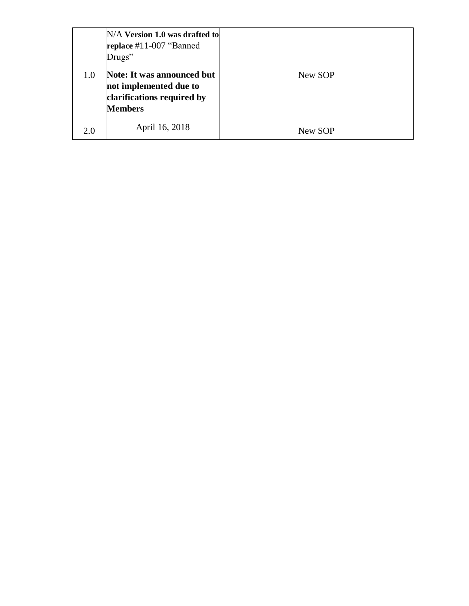|     | $N/A$ Version 1.0 was drafted to<br>replace #11-007 "Banned<br>Drugs"                                |         |
|-----|------------------------------------------------------------------------------------------------------|---------|
| 1.0 | Note: It was announced but<br>not implemented due to<br>clarifications required by<br><b>Members</b> | New SOP |
| 2.0 | April 16, 2018                                                                                       | New SOP |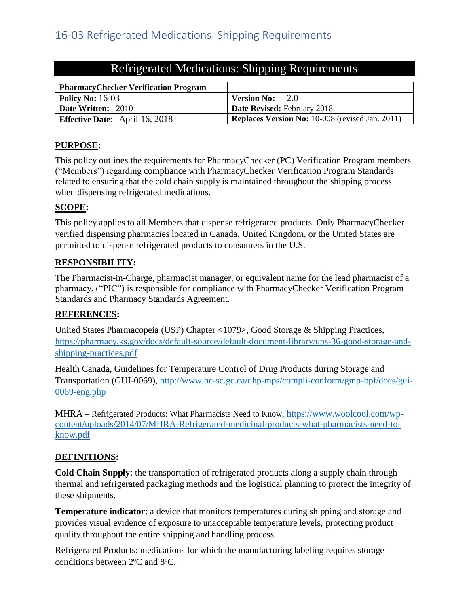| Refrigerated Medications: Shipping Requirements |  |  |  |
|-------------------------------------------------|--|--|--|
|                                                 |  |  |  |

<span id="page-10-0"></span>

| <b>PharmacyChecker Verification Program</b> |                                                        |
|---------------------------------------------|--------------------------------------------------------|
| <b>Policy No: 16-03</b>                     | -2.0<br><b>Version No:</b>                             |
| <b>Date Written: 2010</b>                   | <b>Date Revised: February 2018</b>                     |
| <b>Effective Date:</b> April 16, 2018       | <b>Replaces Version No:</b> 10-008 (revised Jan. 2011) |

# **PURPOSE:**

This policy outlines the requirements for PharmacyChecker (PC) Verification Program members ("Members") regarding compliance with PharmacyChecker Verification Program Standards related to ensuring that the cold chain supply is maintained throughout the shipping process when dispensing refrigerated medications.

## **SCOPE:**

This policy applies to all Members that dispense refrigerated products. Only PharmacyChecker verified dispensing pharmacies located in Canada, United Kingdom, or the United States are permitted to dispense refrigerated products to consumers in the U.S.

## **RESPONSIBILITY:**

The Pharmacist-in-Charge, pharmacist manager, or equivalent name for the lead pharmacist of a pharmacy, ("PIC") is responsible for compliance with PharmacyChecker Verification Program Standards and Pharmacy Standards Agreement.

## **REFERENCES:**

United States Pharmacopeia (USP) Chapter <1079>, Good Storage & Shipping Practices, [https://pharmacy.ks.gov/docs/default-source/default-document-library/ups-36-good-storage-and](https://pharmacy.ks.gov/docs/default-source/default-document-library/ups-36-good-storage-and-shipping-practices.pdf)[shipping-practices.pdf](https://pharmacy.ks.gov/docs/default-source/default-document-library/ups-36-good-storage-and-shipping-practices.pdf)

Health Canada, Guidelines for Temperature Control of Drug Products during Storage and Transportation (GUI-0069), [http://www.hc-sc.gc.ca/dhp-mps/compli-conform/gmp-bpf/docs/gui-](http://www.hc-sc.gc.ca/dhp-mps/compli-conform/gmp-bpf/docs/gui-0069-eng.php)[0069-eng.php](http://www.hc-sc.gc.ca/dhp-mps/compli-conform/gmp-bpf/docs/gui-0069-eng.php)

MHRA – Refrigerated Products: What Pharmacists Need to Know, [https://www.woolcool.com/wp](https://www.woolcool.com/wp-content/uploads/2014/07/MHRA-Refrigerated-medicinal-products-what-pharmacists-need-to-know.pdf)[content/uploads/2014/07/MHRA-Refrigerated-medicinal-products-what-pharmacists-need-to](https://www.woolcool.com/wp-content/uploads/2014/07/MHRA-Refrigerated-medicinal-products-what-pharmacists-need-to-know.pdf)[know.pdf](https://www.woolcool.com/wp-content/uploads/2014/07/MHRA-Refrigerated-medicinal-products-what-pharmacists-need-to-know.pdf)

# **DEFINITIONS:**

**Cold Chain Supply**: the transportation of refrigerated products along a supply chain through thermal and refrigerated packaging methods and the logistical planning to protect the integrity of these shipments.

**Temperature indicator**: a device that monitors temperatures during shipping and storage and provides visual evidence of exposure to unacceptable temperature levels, protecting product quality throughout the entire shipping and handling process.

Refrigerated Products: medications for which the manufacturing labeling requires storage conditions between 2ºC and 8ºC.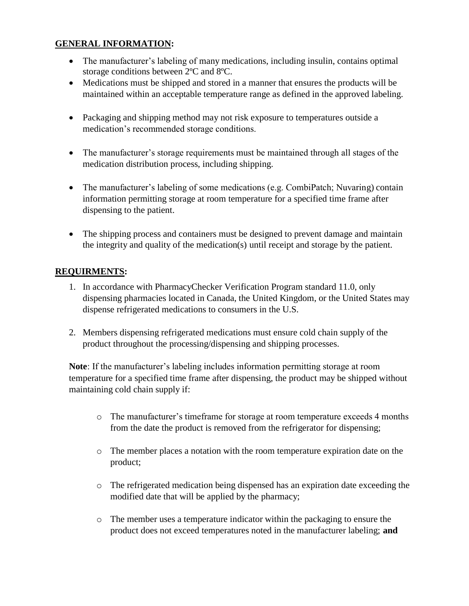# **GENERAL INFORMATION:**

- The manufacturer's labeling of many medications, including insulin, contains optimal storage conditions between 2ºC and 8ºC.
- Medications must be shipped and stored in a manner that ensures the products will be maintained within an acceptable temperature range as defined in the approved labeling.
- Packaging and shipping method may not risk exposure to temperatures outside a medication's recommended storage conditions.
- The manufacturer's storage requirements must be maintained through all stages of the medication distribution process, including shipping.
- The manufacturer's labeling of some medications (e.g. CombiPatch; Nuvaring) contain information permitting storage at room temperature for a specified time frame after dispensing to the patient.
- The shipping process and containers must be designed to prevent damage and maintain the integrity and quality of the medication(s) until receipt and storage by the patient.

# **REQUIRMENTS:**

- 1. In accordance with PharmacyChecker Verification Program standard 11.0, only dispensing pharmacies located in Canada, the United Kingdom, or the United States may dispense refrigerated medications to consumers in the U.S.
- 2. Members dispensing refrigerated medications must ensure cold chain supply of the product throughout the processing/dispensing and shipping processes.

**Note**: If the manufacturer's labeling includes information permitting storage at room temperature for a specified time frame after dispensing, the product may be shipped without maintaining cold chain supply if:

- o The manufacturer's timeframe for storage at room temperature exceeds 4 months from the date the product is removed from the refrigerator for dispensing;
- o The member places a notation with the room temperature expiration date on the product;
- o The refrigerated medication being dispensed has an expiration date exceeding the modified date that will be applied by the pharmacy;
- o The member uses a temperature indicator within the packaging to ensure the product does not exceed temperatures noted in the manufacturer labeling; **and**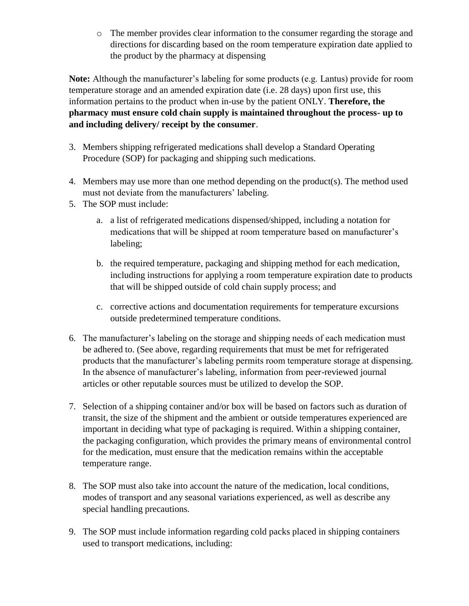o The member provides clear information to the consumer regarding the storage and directions for discarding based on the room temperature expiration date applied to the product by the pharmacy at dispensing

**Note:** Although the manufacturer's labeling for some products (e.g. Lantus) provide for room temperature storage and an amended expiration date (i.e. 28 days) upon first use, this information pertains to the product when in-use by the patient ONLY. **Therefore, the pharmacy must ensure cold chain supply is maintained throughout the process- up to and including delivery/ receipt by the consumer**.

- 3. Members shipping refrigerated medications shall develop a Standard Operating Procedure (SOP) for packaging and shipping such medications.
- 4. Members may use more than one method depending on the product(s). The method used must not deviate from the manufacturers' labeling.
- 5. The SOP must include:
	- a. a list of refrigerated medications dispensed/shipped, including a notation for medications that will be shipped at room temperature based on manufacturer's labeling;
	- b. the required temperature, packaging and shipping method for each medication, including instructions for applying a room temperature expiration date to products that will be shipped outside of cold chain supply process; and
	- c. corrective actions and documentation requirements for temperature excursions outside predetermined temperature conditions.
- 6. The manufacturer's labeling on the storage and shipping needs of each medication must be adhered to. (See above, regarding requirements that must be met for refrigerated products that the manufacturer's labeling permits room temperature storage at dispensing. In the absence of manufacturer's labeling, information from peer-reviewed journal articles or other reputable sources must be utilized to develop the SOP.
- 7. Selection of a shipping container and/or box will be based on factors such as duration of transit, the size of the shipment and the ambient or outside temperatures experienced are important in deciding what type of packaging is required. Within a shipping container, the packaging configuration, which provides the primary means of environmental control for the medication, must ensure that the medication remains within the acceptable temperature range.
- 8. The SOP must also take into account the nature of the medication, local conditions, modes of transport and any seasonal variations experienced, as well as describe any special handling precautions.
- 9. The SOP must include information regarding cold packs placed in shipping containers used to transport medications, including: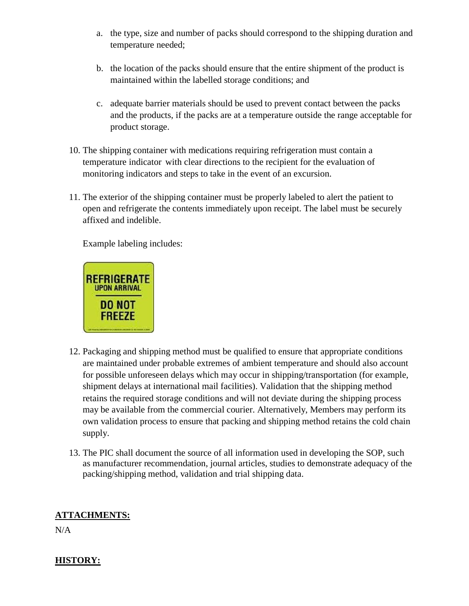- a. the type, size and number of packs should correspond to the shipping duration and temperature needed;
- b. the location of the packs should ensure that the entire shipment of the product is maintained within the labelled storage conditions; and
- c. adequate barrier materials should be used to prevent contact between the packs and the products, if the packs are at a temperature outside the range acceptable for product storage.
- 10. The shipping container with medications requiring refrigeration must contain a temperature indicator with clear directions to the recipient for the evaluation of monitoring indicators and steps to take in the event of an excursion.
- 11. The exterior of the shipping container must be properly labeled to alert the patient to open and refrigerate the contents immediately upon receipt. The label must be securely affixed and indelible.

Example labeling includes:



- 12. Packaging and shipping method must be qualified to ensure that appropriate conditions are maintained under probable extremes of ambient temperature and should also account for possible unforeseen delays which may occur in shipping/transportation (for example, shipment delays at international mail facilities). Validation that the shipping method retains the required storage conditions and will not deviate during the shipping process may be available from the commercial courier. Alternatively, Members may perform its own validation process to ensure that packing and shipping method retains the cold chain supply.
- 13. The PIC shall document the source of all information used in developing the SOP, such as manufacturer recommendation, journal articles, studies to demonstrate adequacy of the packing/shipping method, validation and trial shipping data.

# **ATTACHMENTS:**

N/A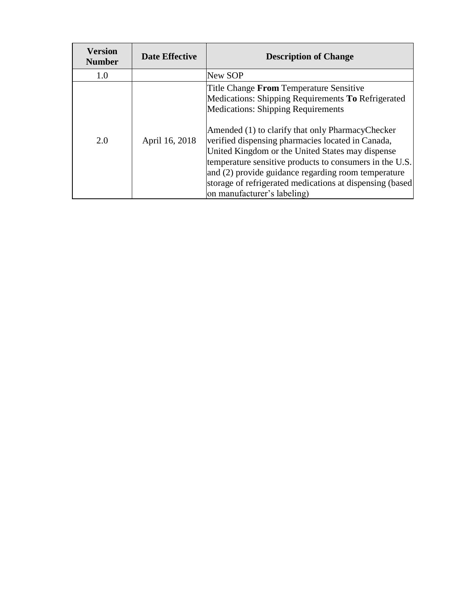<span id="page-14-0"></span>

| <b>Version</b><br><b>Number</b> | <b>Date Effective</b> | <b>Description of Change</b>                                                                                                                                                                                                                                                                                                                                                                                                                                                                                                |
|---------------------------------|-----------------------|-----------------------------------------------------------------------------------------------------------------------------------------------------------------------------------------------------------------------------------------------------------------------------------------------------------------------------------------------------------------------------------------------------------------------------------------------------------------------------------------------------------------------------|
| 1.0                             |                       | New SOP                                                                                                                                                                                                                                                                                                                                                                                                                                                                                                                     |
| 2.0                             | April 16, 2018        | Title Change <b>From</b> Temperature Sensitive<br>Medications: Shipping Requirements To Refrigerated<br><b>Medications: Shipping Requirements</b><br>Amended (1) to clarify that only PharmacyChecker<br>verified dispensing pharmacies located in Canada,<br>United Kingdom or the United States may dispense<br>temperature sensitive products to consumers in the U.S.<br>and (2) provide guidance regarding room temperature<br>storage of refrigerated medications at dispensing (based<br>on manufacturer's labeling) |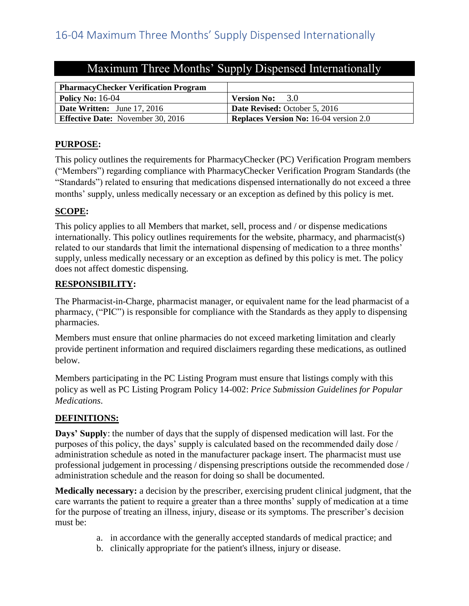| <b>PharmacyChecker Verification Program</b> |                                               |
|---------------------------------------------|-----------------------------------------------|
| Policy No: $16-04$                          | 3.0<br><b>Version No:</b>                     |
| <b>Date Written:</b> June 17, 2016          | <b>Date Revised:</b> October 5, 2016          |
| <b>Effective Date:</b> November 30, 2016    | <b>Replaces Version No:</b> 16-04 version 2.0 |

# Maximum Three Months' Supply Dispensed Internationally

# **PURPOSE:**

This policy outlines the requirements for PharmacyChecker (PC) Verification Program members ("Members") regarding compliance with PharmacyChecker Verification Program Standards (the "Standards") related to ensuring that medications dispensed internationally do not exceed a three months' supply, unless medically necessary or an exception as defined by this policy is met.

# **SCOPE:**

This policy applies to all Members that market, sell, process and / or dispense medications internationally. This policy outlines requirements for the website, pharmacy, and pharmacist(s) related to our standards that limit the international dispensing of medication to a three months' supply, unless medically necessary or an exception as defined by this policy is met. The policy does not affect domestic dispensing.

## **RESPONSIBILITY:**

The Pharmacist-in-Charge, pharmacist manager, or equivalent name for the lead pharmacist of a pharmacy, ("PIC") is responsible for compliance with the Standards as they apply to dispensing pharmacies.

Members must ensure that online pharmacies do not exceed marketing limitation and clearly provide pertinent information and required disclaimers regarding these medications, as outlined below.

Members participating in the PC Listing Program must ensure that listings comply with this policy as well as PC Listing Program Policy 14-002: *Price Submission Guidelines for Popular Medications*.

## **DEFINITIONS:**

**Days' Supply**: the number of days that the supply of dispensed medication will last. For the purposes of this policy, the days' supply is calculated based on the recommended daily dose / administration schedule as noted in the manufacturer package insert. The pharmacist must use professional judgement in processing / dispensing prescriptions outside the recommended dose / administration schedule and the reason for doing so shall be documented.

**Medically necessary:** a decision by the prescriber, exercising prudent clinical judgment, that the care warrants the patient to require a greater than a three months' supply of medication at a time for the purpose of treating an illness, injury, disease or its symptoms. The prescriber's decision must be:

- a. in accordance with the generally accepted standards of medical practice; and
- b. clinically appropriate for the patient's illness, injury or disease.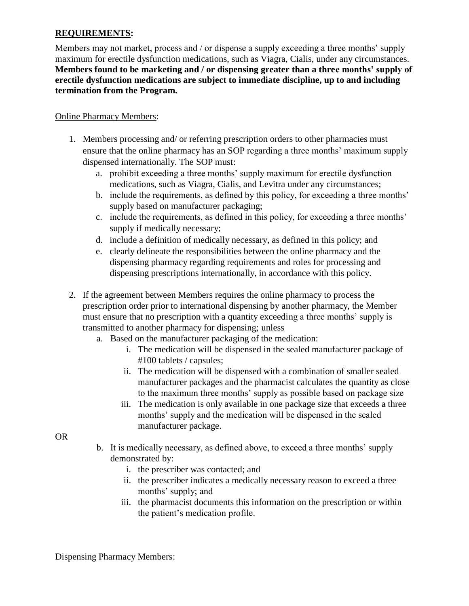## **REQUIREMENTS:**

Members may not market, process and / or dispense a supply exceeding a three months' supply maximum for erectile dysfunction medications, such as Viagra, Cialis, under any circumstances. **Members found to be marketing and / or dispensing greater than a three months' supply of erectile dysfunction medications are subject to immediate discipline, up to and including termination from the Program.**

# Online Pharmacy Members:

- 1. Members processing and/ or referring prescription orders to other pharmacies must ensure that the online pharmacy has an SOP regarding a three months' maximum supply dispensed internationally. The SOP must:
	- a. prohibit exceeding a three months' supply maximum for erectile dysfunction medications, such as Viagra, Cialis, and Levitra under any circumstances;
	- b. include the requirements, as defined by this policy, for exceeding a three months' supply based on manufacturer packaging;
	- c. include the requirements, as defined in this policy, for exceeding a three months' supply if medically necessary;
	- d. include a definition of medically necessary, as defined in this policy; and
	- e. clearly delineate the responsibilities between the online pharmacy and the dispensing pharmacy regarding requirements and roles for processing and dispensing prescriptions internationally, in accordance with this policy.
- 2. If the agreement between Members requires the online pharmacy to process the prescription order prior to international dispensing by another pharmacy, the Member must ensure that no prescription with a quantity exceeding a three months' supply is transmitted to another pharmacy for dispensing; unless
	- a. Based on the manufacturer packaging of the medication:
		- i. The medication will be dispensed in the sealed manufacturer package of #100 tablets / capsules;
		- ii. The medication will be dispensed with a combination of smaller sealed manufacturer packages and the pharmacist calculates the quantity as close to the maximum three months' supply as possible based on package size
		- iii. The medication is only available in one package size that exceeds a three months' supply and the medication will be dispensed in the sealed manufacturer package.

OR

- b. It is medically necessary, as defined above, to exceed a three months' supply demonstrated by:
	- i. the prescriber was contacted; and
	- ii. the prescriber indicates a medically necessary reason to exceed a three months' supply; and
	- iii. the pharmacist documents this information on the prescription or within the patient's medication profile.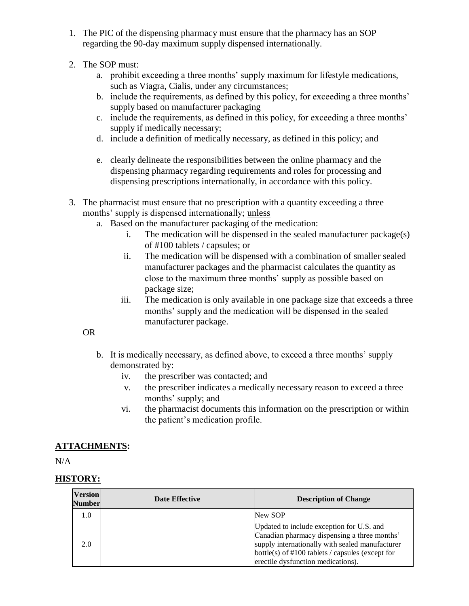- 1. The PIC of the dispensing pharmacy must ensure that the pharmacy has an SOP regarding the 90-day maximum supply dispensed internationally.
- 2. The SOP must:
	- a. prohibit exceeding a three months' supply maximum for lifestyle medications, such as Viagra, Cialis, under any circumstances;
	- b. include the requirements, as defined by this policy, for exceeding a three months' supply based on manufacturer packaging
	- c. include the requirements, as defined in this policy, for exceeding a three months' supply if medically necessary;
	- d. include a definition of medically necessary, as defined in this policy; and
	- e. clearly delineate the responsibilities between the online pharmacy and the dispensing pharmacy regarding requirements and roles for processing and dispensing prescriptions internationally, in accordance with this policy.
- 3. The pharmacist must ensure that no prescription with a quantity exceeding a three months' supply is dispensed internationally; unless
	- a. Based on the manufacturer packaging of the medication:
		- i. The medication will be dispensed in the sealed manufacturer package(s) of #100 tablets / capsules; or
		- ii. The medication will be dispensed with a combination of smaller sealed manufacturer packages and the pharmacist calculates the quantity as close to the maximum three months' supply as possible based on package size;
		- iii. The medication is only available in one package size that exceeds a three months' supply and the medication will be dispensed in the sealed manufacturer package.

OR

- b. It is medically necessary, as defined above, to exceed a three months' supply demonstrated by:
	- iv. the prescriber was contacted; and
	- v. the prescriber indicates a medically necessary reason to exceed a three months' supply; and
	- vi. the pharmacist documents this information on the prescription or within the patient's medication profile.

# **ATTACHMENTS:**

 $N/A$ 

| <b>Version</b><br>Number | <b>Date Effective</b> | <b>Description of Change</b>                                                                                                                                                                                                              |
|--------------------------|-----------------------|-------------------------------------------------------------------------------------------------------------------------------------------------------------------------------------------------------------------------------------------|
| 1.0                      |                       | New SOP                                                                                                                                                                                                                                   |
| 2.0                      |                       | Updated to include exception for U.S. and<br>Canadian pharmacy dispensing a three months'<br>supply internationally with sealed manufacturer<br>bottle(s) of $\#100$ tablets / capsules (except for<br>erectile dysfunction medications). |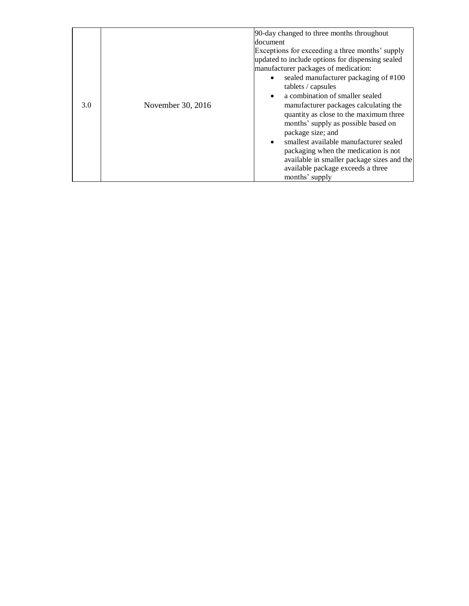<span id="page-18-0"></span>

| 3.0 | November 30, 2016 | 90-day changed to three months throughout<br>document<br>Exceptions for exceeding a three months' supply<br>updated to include options for dispensing sealed<br>manufacturer packages of medication:<br>sealed manufacturer packaging of #100<br>$\bullet$<br>tablets / capsules<br>a combination of smaller sealed<br>$\bullet$<br>manufacturer packages calculating the<br>quantity as close to the maximum three<br>months' supply as possible based on<br>package size; and<br>smallest available manufacturer sealed<br>$\bullet$<br>packaging when the medication is not<br>available in smaller package sizes and the |
|-----|-------------------|------------------------------------------------------------------------------------------------------------------------------------------------------------------------------------------------------------------------------------------------------------------------------------------------------------------------------------------------------------------------------------------------------------------------------------------------------------------------------------------------------------------------------------------------------------------------------------------------------------------------------|
|     |                   | available package exceeds a three<br>months' supply                                                                                                                                                                                                                                                                                                                                                                                                                                                                                                                                                                          |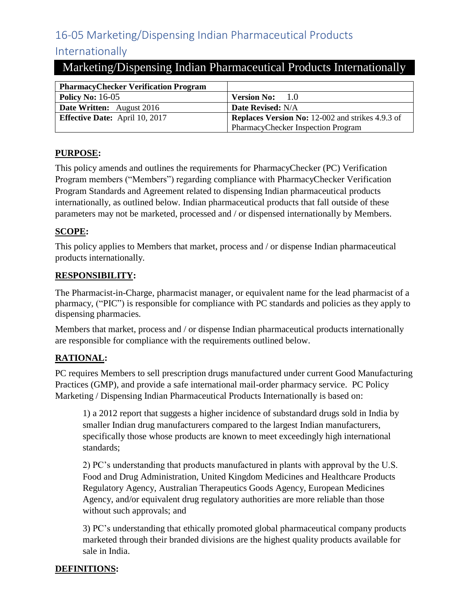# 16-05 Marketing/Dispensing Indian Pharmaceutical Products

# Internationally

# Marketing/Dispensing Indian Pharmaceutical Products Internationally

| <b>PharmacyChecker Verification Program</b> |                                                         |
|---------------------------------------------|---------------------------------------------------------|
| <b>Policy No: 16-05</b>                     | <b>Version No:</b> $1.0$                                |
| <b>Date Written:</b> August 2016            | Date Revised: N/A                                       |
| <b>Effective Date:</b> April 10, 2017       | <b>Replaces Version No: 12-002 and strikes 4.9.3 of</b> |
|                                             | PharmacyChecker Inspection Program                      |

# **PURPOSE:**

This policy amends and outlines the requirements for PharmacyChecker (PC) Verification Program members ("Members") regarding compliance with PharmacyChecker Verification Program Standards and Agreement related to dispensing Indian pharmaceutical products internationally, as outlined below. Indian pharmaceutical products that fall outside of these parameters may not be marketed, processed and / or dispensed internationally by Members.

# **SCOPE:**

This policy applies to Members that market, process and / or dispense Indian pharmaceutical products internationally.

## **RESPONSIBILITY:**

The Pharmacist-in-Charge, pharmacist manager, or equivalent name for the lead pharmacist of a pharmacy, ("PIC") is responsible for compliance with PC standards and policies as they apply to dispensing pharmacies.

Members that market, process and / or dispense Indian pharmaceutical products internationally are responsible for compliance with the requirements outlined below.

# **RATIONAL:**

PC requires Members to sell prescription drugs manufactured under current Good Manufacturing Practices (GMP), and provide a safe international mail-order pharmacy service. PC Policy Marketing / Dispensing Indian Pharmaceutical Products Internationally is based on:

1) a 2012 report that suggests a higher incidence of substandard drugs sold in India by smaller Indian drug manufacturers compared to the largest Indian manufacturers, specifically those whose products are known to meet exceedingly high international standards;

2) PC's understanding that products manufactured in plants with approval by the U.S. Food and Drug Administration, United Kingdom Medicines and Healthcare Products Regulatory Agency, Australian Therapeutics Goods Agency, European Medicines Agency, and/or equivalent drug regulatory authorities are more reliable than those without such approvals; and

3) PC's understanding that ethically promoted global pharmaceutical company products marketed through their branded divisions are the highest quality products available for sale in India.

# **DEFINITIONS:**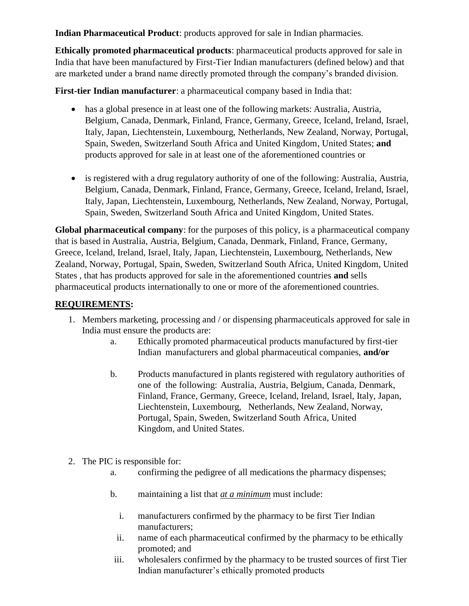**Indian Pharmaceutical Product**: products approved for sale in Indian pharmacies.

**Ethically promoted pharmaceutical products**: pharmaceutical products approved for sale in India that have been manufactured by First-Tier Indian manufacturers (defined below) and that are marketed under a brand name directly promoted through the company's branded division.

**First-tier Indian manufacturer**: a pharmaceutical company based in India that:

- has a global presence in at least one of the following markets: Australia, Austria, Belgium, Canada, Denmark, Finland, France, Germany, Greece, Iceland, Ireland, Israel, Italy, Japan, Liechtenstein, Luxembourg, Netherlands, New Zealand, Norway, Portugal, Spain, Sweden, Switzerland South Africa and United Kingdom, United States; **and** products approved for sale in at least one of the aforementioned countries or
- is registered with a drug regulatory authority of one of the following: Australia, Austria, Belgium, Canada, Denmark, Finland, France, Germany, Greece, Iceland, Ireland, Israel, Italy, Japan, Liechtenstein, Luxembourg, Netherlands, New Zealand, Norway, Portugal, Spain, Sweden, Switzerland South Africa and United Kingdom, United States.

**Global pharmaceutical company**: for the purposes of this policy, is a pharmaceutical company that is based in Australia, Austria, Belgium, Canada, Denmark, Finland, France, Germany, Greece, Iceland, Ireland, Israel, Italy, Japan, Liechtenstein, Luxembourg, Netherlands, New Zealand, Norway, Portugal, Spain, Sweden, Switzerland South Africa, United Kingdom, United States , that has products approved for sale in the aforementioned countries **and** sells pharmaceutical products internationally to one or more of the aforementioned countries.

## **REQUIREMENTS:**

- 1. Members marketing, processing and / or dispensing pharmaceuticals approved for sale in India must ensure the products are:
	- a. Ethically promoted pharmaceutical products manufactured by first-tier Indian manufacturers and global pharmaceutical companies, **and/or**
	- b. Products manufactured in plants registered with regulatory authorities of one of the following: Australia, Austria, Belgium, Canada, Denmark, Finland, France, Germany, Greece, Iceland, Ireland, Israel, Italy, Japan, Liechtenstein, Luxembourg, Netherlands, New Zealand, Norway, Portugal, Spain, Sweden, Switzerland South Africa, United Kingdom, and United States.
- 2. The PIC is responsible for:
	- a. confirming the pedigree of all medications the pharmacy dispenses;
	- b. maintaining a list that *at a minimum* must include:
		- i. manufacturers confirmed by the pharmacy to be first Tier Indian manufacturers;
		- ii. name of each pharmaceutical confirmed by the pharmacy to be ethically promoted; and
	- iii. wholesalers confirmed by the pharmacy to be trusted sources of first Tier Indian manufacturer's ethically promoted products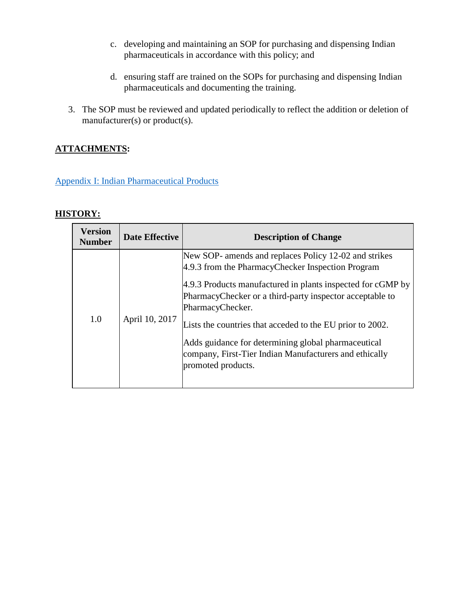- c. developing and maintaining an SOP for purchasing and dispensing Indian pharmaceuticals in accordance with this policy; and
- d. ensuring staff are trained on the SOPs for purchasing and dispensing Indian pharmaceuticals and documenting the training.
- 3. The SOP must be reviewed and updated periodically to reflect the addition or deletion of manufacturer(s) or product(s).

# **ATTACHMENTS:**

[Appendix I: Indian Pharmaceutical Products](#page-21-0)

<span id="page-21-0"></span>

| <b>Version</b><br><b>Number</b> | <b>Date Effective</b> | <b>Description of Change</b>                                                                                                                                                                                                                                                                                                                                                                                                                                  |
|---------------------------------|-----------------------|---------------------------------------------------------------------------------------------------------------------------------------------------------------------------------------------------------------------------------------------------------------------------------------------------------------------------------------------------------------------------------------------------------------------------------------------------------------|
| 1.0                             | April 10, 2017        | New SOP- amends and replaces Policy 12-02 and strikes<br>4.9.3 from the PharmacyChecker Inspection Program<br>4.9.3 Products manufactured in plants inspected for cGMP by<br>PharmacyChecker or a third-party inspector acceptable to<br>PharmacyChecker.<br>Lists the countries that acceded to the EU prior to 2002.<br>Adds guidance for determining global pharmaceutical<br>company, First-Tier Indian Manufacturers and ethically<br>promoted products. |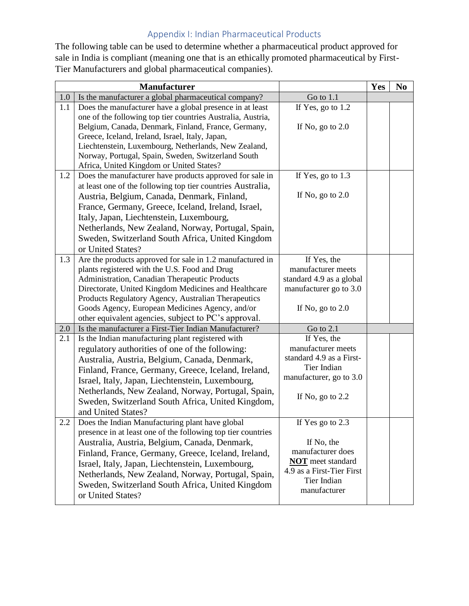# Appendix I: Indian Pharmaceutical Products

The following table can be used to determine whether a pharmaceutical product approved for sale in India is compliant (meaning one that is an ethically promoted pharmaceutical by First-Tier Manufacturers and global pharmaceutical companies).

|     | <b>Manufacturer</b>                                                                            |                                                       | Yes | N <sub>0</sub> |
|-----|------------------------------------------------------------------------------------------------|-------------------------------------------------------|-----|----------------|
| 1.0 | Is the manufacturer a global pharmaceutical company?                                           | Go to 1.1                                             |     |                |
| 1.1 | Does the manufacturer have a global presence in at least                                       | If Yes, go to 1.2                                     |     |                |
|     | one of the following top tier countries Australia, Austria,                                    |                                                       |     |                |
|     | Belgium, Canada, Denmark, Finland, France, Germany,                                            | If No, go to $2.0$                                    |     |                |
|     | Greece, Iceland, Ireland, Israel, Italy, Japan,                                                |                                                       |     |                |
|     | Liechtenstein, Luxembourg, Netherlands, New Zealand,                                           |                                                       |     |                |
|     | Norway, Portugal, Spain, Sweden, Switzerland South<br>Africa, United Kingdom or United States? |                                                       |     |                |
| 1.2 | Does the manufacturer have products approved for sale in                                       | If Yes, go to 1.3                                     |     |                |
|     | at least one of the following top tier countries Australia,                                    |                                                       |     |                |
|     | Austria, Belgium, Canada, Denmark, Finland,                                                    | If No, go to $2.0$                                    |     |                |
|     | France, Germany, Greece, Iceland, Ireland, Israel,                                             |                                                       |     |                |
|     | Italy, Japan, Liechtenstein, Luxembourg,                                                       |                                                       |     |                |
|     | Netherlands, New Zealand, Norway, Portugal, Spain,                                             |                                                       |     |                |
|     | Sweden, Switzerland South Africa, United Kingdom                                               |                                                       |     |                |
|     | or United States?                                                                              |                                                       |     |                |
| 1.3 | Are the products approved for sale in 1.2 manufactured in                                      | If Yes, the                                           |     |                |
|     | plants registered with the U.S. Food and Drug                                                  | manufacturer meets                                    |     |                |
|     | Administration, Canadian Therapeutic Products                                                  | standard 4.9 as a global                              |     |                |
|     | Directorate, United Kingdom Medicines and Healthcare                                           | manufacturer go to 3.0                                |     |                |
|     | Products Regulatory Agency, Australian Therapeutics                                            |                                                       |     |                |
|     | Goods Agency, European Medicines Agency, and/or                                                | If No, go to $2.0$                                    |     |                |
|     | other equivalent agencies, subject to PC's approval.                                           |                                                       |     |                |
| 2.0 | Is the manufacturer a First-Tier Indian Manufacturer?                                          | Go to 2.1                                             |     |                |
| 2.1 | Is the Indian manufacturing plant registered with                                              | If Yes, the                                           |     |                |
|     | regulatory authorities of one of the following:                                                | manufacturer meets                                    |     |                |
|     | Australia, Austria, Belgium, Canada, Denmark,                                                  | standard 4.9 as a First-                              |     |                |
|     | Finland, France, Germany, Greece, Iceland, Ireland,                                            | Tier Indian                                           |     |                |
|     | Israel, Italy, Japan, Liechtenstein, Luxembourg,                                               | manufacturer, go to 3.0                               |     |                |
|     | Netherlands, New Zealand, Norway, Portugal, Spain,                                             | If No, go to $2.2$                                    |     |                |
|     | Sweden, Switzerland South Africa, United Kingdom,                                              |                                                       |     |                |
|     | and United States?                                                                             |                                                       |     |                |
| 2.2 | Does the Indian Manufacturing plant have global                                                | If Yes go to 2.3                                      |     |                |
|     | presence in at least one of the following top tier countries                                   |                                                       |     |                |
|     | Australia, Austria, Belgium, Canada, Denmark,                                                  | If No, the                                            |     |                |
|     | Finland, France, Germany, Greece, Iceland, Ireland,                                            | manufacturer does                                     |     |                |
|     | Israel, Italy, Japan, Liechtenstein, Luxembourg,                                               | <b>NOT</b> meet standard<br>4.9 as a First-Tier First |     |                |
|     | Netherlands, New Zealand, Norway, Portugal, Spain,                                             | Tier Indian                                           |     |                |
|     | Sweden, Switzerland South Africa, United Kingdom                                               | manufacturer                                          |     |                |
|     | or United States?                                                                              |                                                       |     |                |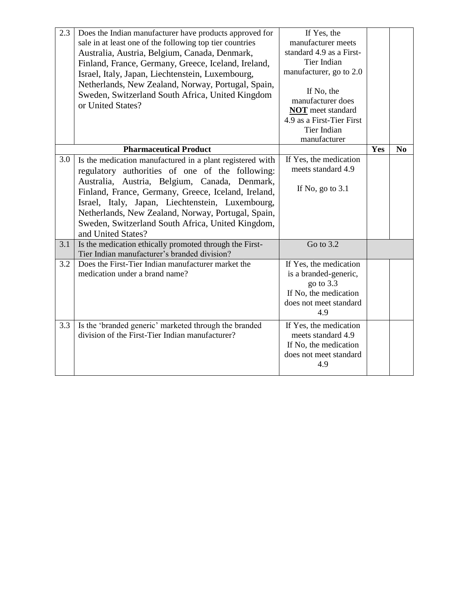| 2.3 | Does the Indian manufacturer have products approved for<br>sale in at least one of the following top tier countries<br>Australia, Austria, Belgium, Canada, Denmark,<br>Finland, France, Germany, Greece, Iceland, Ireland,<br>Israel, Italy, Japan, Liechtenstein, Luxembourg,<br>Netherlands, New Zealand, Norway, Portugal, Spain,<br>Sweden, Switzerland South Africa, United Kingdom<br>or United States? | If Yes, the<br>manufacturer meets<br>standard 4.9 as a First-<br>Tier Indian<br>manufacturer, go to 2.0<br>If No, the<br>manufacturer does<br><b>NOT</b> meet standard<br>4.9 as a First-Tier First<br>Tier Indian<br>manufacturer |     |                |
|-----|----------------------------------------------------------------------------------------------------------------------------------------------------------------------------------------------------------------------------------------------------------------------------------------------------------------------------------------------------------------------------------------------------------------|------------------------------------------------------------------------------------------------------------------------------------------------------------------------------------------------------------------------------------|-----|----------------|
|     | <b>Pharmaceutical Product</b>                                                                                                                                                                                                                                                                                                                                                                                  |                                                                                                                                                                                                                                    | Yes | N <sub>0</sub> |
| 3.0 | Is the medication manufactured in a plant registered with<br>regulatory authorities of one of the following:<br>Australia, Austria, Belgium, Canada, Denmark,<br>Finland, France, Germany, Greece, Iceland, Ireland,<br>Israel, Italy, Japan, Liechtenstein, Luxembourg,<br>Netherlands, New Zealand, Norway, Portugal, Spain,<br>Sweden, Switzerland South Africa, United Kingdom,<br>and United States?      | If Yes, the medication<br>meets standard 4.9<br>If No, go to $3.1$                                                                                                                                                                 |     |                |
| 3.1 | Is the medication ethically promoted through the First-<br>Tier Indian manufacturer's branded division?                                                                                                                                                                                                                                                                                                        | Go to 3.2                                                                                                                                                                                                                          |     |                |
| 3.2 | Does the First-Tier Indian manufacturer market the<br>medication under a brand name?                                                                                                                                                                                                                                                                                                                           | If Yes, the medication<br>is a branded-generic,<br>go to 3.3<br>If No, the medication<br>does not meet standard<br>4.9                                                                                                             |     |                |
| 3.3 | Is the 'branded generic' marketed through the branded<br>division of the First-Tier Indian manufacturer?                                                                                                                                                                                                                                                                                                       | If Yes, the medication<br>meets standard 4.9<br>If No, the medication<br>does not meet standard<br>4.9                                                                                                                             |     |                |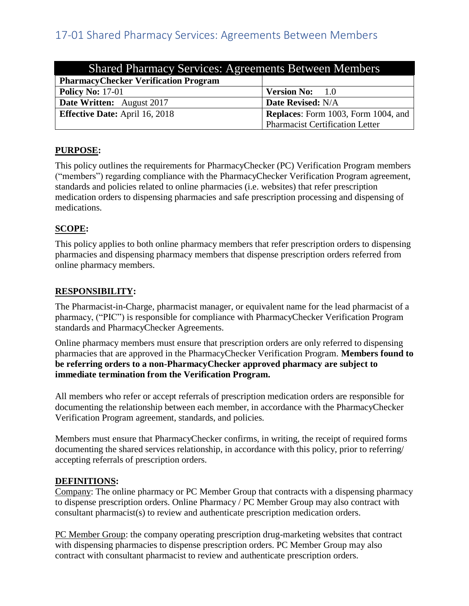<span id="page-24-0"></span>

| <b>Shared Pharmacy Services: Agreements Between Members</b> |                                            |  |
|-------------------------------------------------------------|--------------------------------------------|--|
| <b>PharmacyChecker Verification Program</b>                 |                                            |  |
| <b>Policy No: 17-01</b>                                     | <b>Version No:</b> 1.0                     |  |
| <b>Date Written:</b> August 2017                            | Date Revised: N/A                          |  |
| <b>Effective Date:</b> April 16, 2018                       | <b>Replaces:</b> Form 1003, Form 1004, and |  |
|                                                             | <b>Pharmacist Certification Letter</b>     |  |

## **PURPOSE:**

This policy outlines the requirements for PharmacyChecker (PC) Verification Program members ("members") regarding compliance with the PharmacyChecker Verification Program agreement, standards and policies related to online pharmacies (i.e. websites) that refer prescription medication orders to dispensing pharmacies and safe prescription processing and dispensing of medications.

# **SCOPE:**

This policy applies to both online pharmacy members that refer prescription orders to dispensing pharmacies and dispensing pharmacy members that dispense prescription orders referred from online pharmacy members.

# **RESPONSIBILITY:**

The Pharmacist-in-Charge, pharmacist manager, or equivalent name for the lead pharmacist of a pharmacy, ("PIC") is responsible for compliance with PharmacyChecker Verification Program standards and PharmacyChecker Agreements.

Online pharmacy members must ensure that prescription orders are only referred to dispensing pharmacies that are approved in the PharmacyChecker Verification Program. **Members found to be referring orders to a non-PharmacyChecker approved pharmacy are subject to immediate termination from the Verification Program.**

All members who refer or accept referrals of prescription medication orders are responsible for documenting the relationship between each member, in accordance with the PharmacyChecker Verification Program agreement, standards, and policies.

Members must ensure that PharmacyChecker confirms, in writing, the receipt of required forms documenting the shared services relationship, in accordance with this policy, prior to referring/ accepting referrals of prescription orders.

## **DEFINITIONS:**

Company: The online pharmacy or PC Member Group that contracts with a dispensing pharmacy to dispense prescription orders. Online Pharmacy / PC Member Group may also contract with consultant pharmacist(s) to review and authenticate prescription medication orders.

PC Member Group: the company operating prescription drug-marketing websites that contract with dispensing pharmacies to dispense prescription orders. PC Member Group may also contract with consultant pharmacist to review and authenticate prescription orders.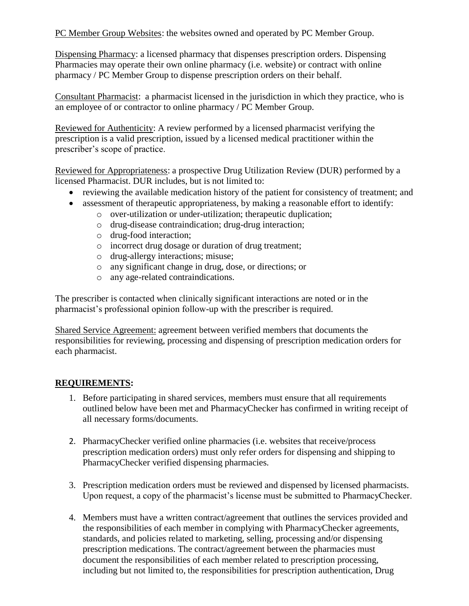PC Member Group Websites: the websites owned and operated by PC Member Group.

Dispensing Pharmacy: a licensed pharmacy that dispenses prescription orders. Dispensing Pharmacies may operate their own online pharmacy (i.e. website) or contract with online pharmacy / PC Member Group to dispense prescription orders on their behalf.

Consultant Pharmacist: a pharmacist licensed in the jurisdiction in which they practice, who is an employee of or contractor to online pharmacy / PC Member Group.

Reviewed for Authenticity: A review performed by a licensed pharmacist verifying the prescription is a valid prescription, issued by a licensed medical practitioner within the prescriber's scope of practice.

Reviewed for Appropriateness: a prospective Drug Utilization Review (DUR) performed by a licensed Pharmacist. DUR includes, but is not limited to:

- reviewing the available medication history of the patient for consistency of treatment; and
- assessment of therapeutic appropriateness, by making a reasonable effort to identify:
	- o over-utilization or under-utilization; therapeutic duplication;
	- o drug-disease contraindication; drug-drug interaction;
	- o drug-food interaction;
	- o incorrect drug dosage or duration of drug treatment;
	- o drug-allergy interactions; misuse;
	- o any significant change in drug, dose, or directions; or
	- o any age-related contraindications.

The prescriber is contacted when clinically significant interactions are noted or in the pharmacist's professional opinion follow-up with the prescriber is required.

Shared Service Agreement: agreement between verified members that documents the responsibilities for reviewing, processing and dispensing of prescription medication orders for each pharmacist.

## **REQUIREMENTS:**

- 1. Before participating in shared services, members must ensure that all requirements outlined below have been met and PharmacyChecker has confirmed in writing receipt of all necessary forms/documents.
- 2. PharmacyChecker verified online pharmacies (i.e. websites that receive/process prescription medication orders) must only refer orders for dispensing and shipping to PharmacyChecker verified dispensing pharmacies.
- 3. Prescription medication orders must be reviewed and dispensed by licensed pharmacists. Upon request, a copy of the pharmacist's license must be submitted to PharmacyChecker.
- 4. Members must have a written contract/agreement that outlines the services provided and the responsibilities of each member in complying with PharmacyChecker agreements, standards, and policies related to marketing, selling, processing and/or dispensing prescription medications. The contract/agreement between the pharmacies must document the responsibilities of each member related to prescription processing, including but not limited to, the responsibilities for prescription authentication, Drug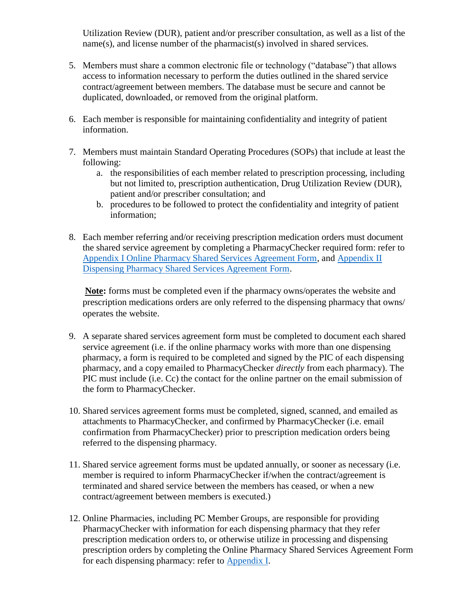Utilization Review (DUR), patient and/or prescriber consultation, as well as a list of the name(s), and license number of the pharmacist(s) involved in shared services.

- 5. Members must share a common electronic file or technology ("database") that allows access to information necessary to perform the duties outlined in the shared service contract/agreement between members. The database must be secure and cannot be duplicated, downloaded, or removed from the original platform.
- 6. Each member is responsible for maintaining confidentiality and integrity of patient information.
- 7. Members must maintain Standard Operating Procedures (SOPs) that include at least the following:
	- a. the responsibilities of each member related to prescription processing, including but not limited to, prescription authentication, Drug Utilization Review (DUR), patient and/or prescriber consultation; and
	- b. procedures to be followed to protect the confidentiality and integrity of patient information;
- 8. Each member referring and/or receiving prescription medication orders must document the shared service agreement by completing a PharmacyChecker required form: refer to [Appendix I Online Pharmacy Shared Services Agreement Form,](#page-27-0) and [Appendix II](#page-30-0)  [Dispensing Pharmacy Shared Services Agreement Form.](#page-30-0)

**Note:** forms must be completed even if the pharmacy owns/operates the website and prescription medications orders are only referred to the dispensing pharmacy that owns/ operates the website.

- 9. A separate shared services agreement form must be completed to document each shared service agreement (i.e. if the online pharmacy works with more than one dispensing pharmacy, a form is required to be completed and signed by the PIC of each dispensing pharmacy, and a copy emailed to PharmacyChecker *directly* from each pharmacy). The PIC must include (i.e. Cc) the contact for the online partner on the email submission of the form to PharmacyChecker.
- 10. Shared services agreement forms must be completed, signed, scanned, and emailed as attachments to PharmacyChecker, and confirmed by PharmacyChecker (i.e. email confirmation from PharmacyChecker) prior to prescription medication orders being referred to the dispensing pharmacy.
- 11. Shared service agreement forms must be updated annually, or sooner as necessary (i.e. member is required to inform PharmacyChecker if/when the contract/agreement is terminated and shared service between the members has ceased, or when a new contract/agreement between members is executed.)
- 12. Online Pharmacies, including PC Member Groups, are responsible for providing PharmacyChecker with information for each dispensing pharmacy that they refer prescription medication orders to, or otherwise utilize in processing and dispensing prescription orders by completing the Online Pharmacy Shared Services Agreement Form for each dispensing pharmacy: refer to [Appendix I.](#page-27-0)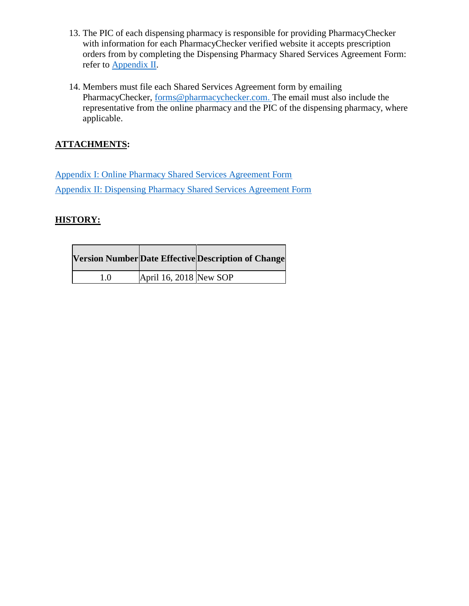- 13. The PIC of each dispensing pharmacy is responsible for providing PharmacyChecker with information for each PharmacyChecker verified website it accepts prescription orders from by completing the Dispensing Pharmacy Shared Services Agreement Form: refer to [Appendix II.](#page-31-0)
- 14. Members must file each Shared Services Agreement form by emailing PharmacyChecker, [forms@pharmacychecker.com.](mailto:Donna.miller@pharmacychecker.com) The email must also include the representative from the online pharmacy and the PIC of the dispensing pharmacy, where applicable.

# **ATTACHMENTS:**

[Appendix I: Online Pharmacy Shared Services Agreement Form](#page-27-0) [Appendix II: Dispensing Pharmacy Shared Services Agreement Form](#page-30-0)

<span id="page-27-0"></span>

|     |                        | <b>Version Number Date Effective Description of Change</b> |
|-----|------------------------|------------------------------------------------------------|
| 1.0 | April 16, 2018 New SOP |                                                            |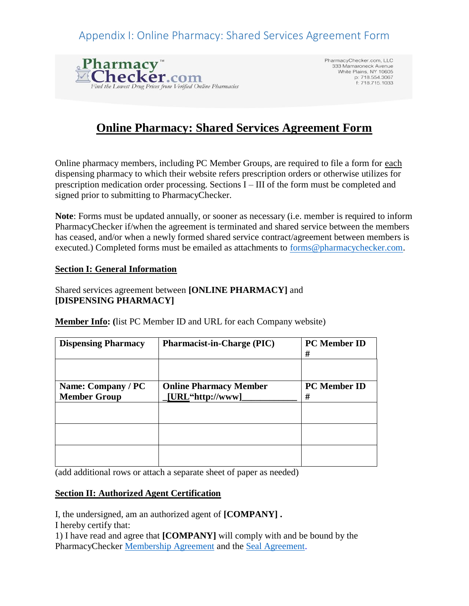# Appendix I: Online Pharmacy: Shared Services Agreement Form



PharmacyChecker.com, LLC 333 Mamaroneck Avenue<br>White Plains, NY 10605 p: 718.554.3067 f: 718.715.1033

# **Online Pharmacy: Shared Services Agreement Form**

Online pharmacy members, including PC Member Groups, are required to file a form for each dispensing pharmacy to which their website refers prescription orders or otherwise utilizes for prescription medication order processing. Sections I – III of the form must be completed and signed prior to submitting to PharmacyChecker.

**Note**: Forms must be updated annually, or sooner as necessary (i.e. member is required to inform PharmacyChecker if/when the agreement is terminated and shared service between the members has ceased, and/or when a newly formed shared service contract/agreement between members is executed.) Completed forms must be emailed as attachments to [forms@pharmacychecker.com.](mailto:forms@pharmacychecker.com)

#### **Section I: General Information**

#### Shared services agreement between **[ONLINE PHARMACY]** and **[DISPENSING PHARMACY]**

**Member Info: (**list PC Member ID and URL for each Company website)

| <b>Dispensing Pharmacy</b>                | <b>Pharmacist-in-Charge (PIC)</b>                 | <b>PC</b> Member ID<br># |
|-------------------------------------------|---------------------------------------------------|--------------------------|
|                                           |                                                   |                          |
| Name: Company / PC<br><b>Member Group</b> | <b>Online Pharmacy Member</b><br>[URL"http://www] | <b>PC</b> Member ID<br># |
|                                           |                                                   |                          |
|                                           |                                                   |                          |
|                                           |                                                   |                          |

(add additional rows or attach a separate sheet of paper as needed)

#### **Section II: Authorized Agent Certification**

I, the undersigned, am an authorized agent of **[COMPANY] .** I hereby certify that:

1) I have read and agree that **[COMPANY]** will comply with and be bound by the PharmacyChecker [Membership Agreement](https://www.pharmacychecker.com/pdf/membership_agreement_4.30.17.pdf) and the [Seal Agreement.](https://www.pharmacychecker.com/pdf/seal_agreement_4.30.17.pdf)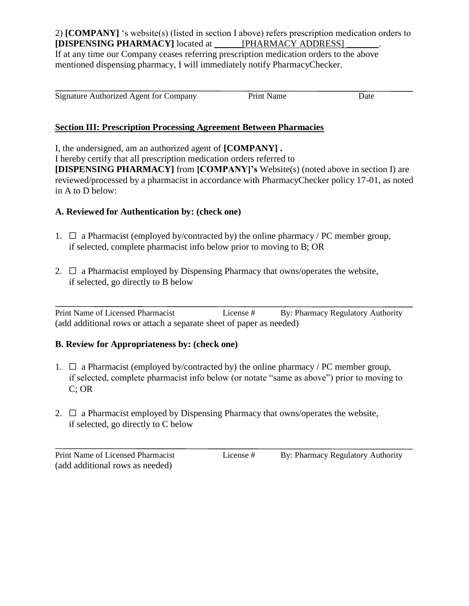2) **[COMPANY]** 's website(s) (listed in section I above) refers prescription medication orders to **[DISPENSING PHARMACY]** located at \_\_\_\_\_\_[PHARMACY ADDRESS] \_\_\_\_\_\_\_.

If at any time our Company ceases referring prescription medication orders to the above mentioned dispensing pharmacy, I will immediately notify PharmacyChecker.

| Signature Authorized Agent for Company | Print Name | Date |
|----------------------------------------|------------|------|
|                                        |            |      |

## **Section III: Prescription Processing Agreement Between Pharmacies**

I, the undersigned, am an authorized agent of **[COMPANY] .**

I hereby certify that all prescription medication orders referred to

**[DISPENSING PHARMACY]** from **[COMPANY]'s** Website(s) (noted above in section I) are reviewed/processed by a pharmacist in accordance with PharmacyChecker policy 17-01, as noted in A to D below:

## **A. Reviewed for Authentication by: (check one)**

- 1.  $\Box$  a Pharmacist (employed by/contracted by) the online pharmacy / PC member group, if selected, complete pharmacist info below prior to moving to B; OR
- 2.  $\Box$  a Pharmacist employed by Dispensing Pharmacy that owns/operates the website, if selected, go directly to B below

 $\overline{a}$ Print Name of Licensed Pharmacist License # By: Pharmacy Regulatory Authority (add additional rows or attach a separate sheet of paper as needed)

## **B. Review for Appropriateness by: (check one)**

- 1.  $\Box$  a Pharmacist (employed by/contracted by) the online pharmacy / PC member group, if selected, complete pharmacist info below (or notate "same as above") prior to moving to C; OR
- 2.  $\Box$  a Pharmacist employed by Dispensing Pharmacy that owns/operates the website, if selected, go directly to C below

(add additional rows as needed)

 $\overline{a}$ 

Print Name of Licensed Pharmacist License # By: Pharmacy Regulatory Authority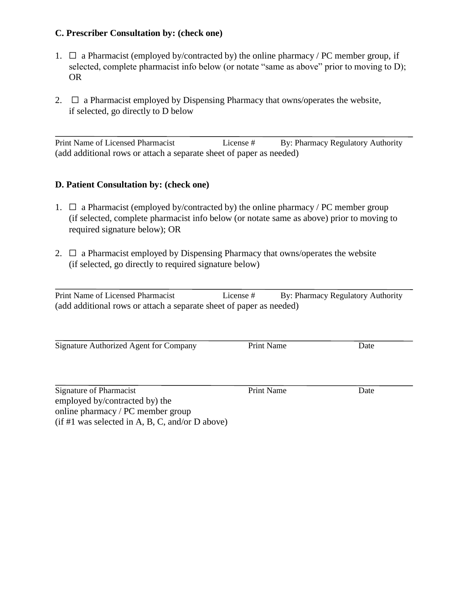#### **C. Prescriber Consultation by: (check one)**

- 1.  $\Box$  a Pharmacist (employed by/contracted by) the online pharmacy / PC member group, if selected, complete pharmacist info below (or notate "same as above" prior to moving to D); OR
- 2.  $\Box$  a Pharmacist employed by Dispensing Pharmacy that owns/operates the website, if selected, go directly to D below

 $\overline{a}$ Print Name of Licensed Pharmacist License # By: Pharmacy Regulatory Authority (add additional rows or attach a separate sheet of paper as needed)

#### **D. Patient Consultation by: (check one)**

- 1.  $\Box$  a Pharmacist (employed by/contracted by) the online pharmacy / PC member group (if selected, complete pharmacist info below (or notate same as above) prior to moving to required signature below); OR
- 2.  $\Box$  a Pharmacist employed by Dispensing Pharmacy that owns/operates the website (if selected, go directly to required signature below)

| Print Name of Licensed Pharmacist                                   | License # | By: Pharmacy Regulatory Authority |  |
|---------------------------------------------------------------------|-----------|-----------------------------------|--|
| (add additional rows or attach a separate sheet of paper as needed) |           |                                   |  |

<span id="page-30-0"></span>Signature Authorized Agent for Company Print Name Date

| Signature of Pharmacist        | <b>Print Name</b> | Date |
|--------------------------------|-------------------|------|
| employed by/contracted by) the |                   |      |

online pharmacy / PC member group

(if #1 was selected in A, B, C, and/or D above)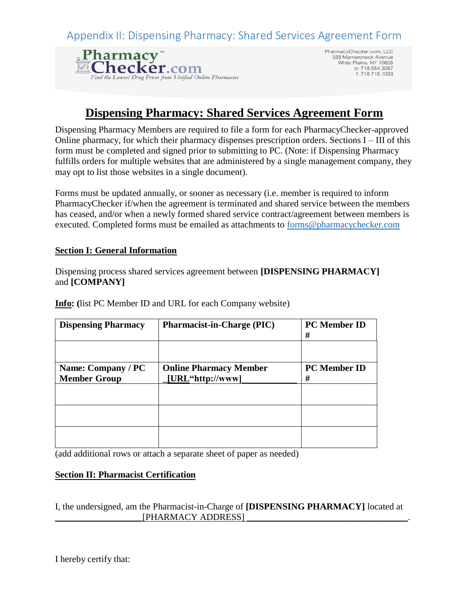<span id="page-31-0"></span>Appendix II: Dispensing Pharmacy: Shared Services Agreement Form



PharmacyChecker.com, LLC<br>333 Mamaroneck Avenue White Plains, NY 10605 p: 718.554.3067 f: 718.715.1033

# **Dispensing Pharmacy: Shared Services Agreement Form**

Dispensing Pharmacy Members are required to file a form for each PharmacyChecker-approved Online pharmacy, for which their pharmacy dispenses prescription orders. Sections I – III of this form must be completed and signed prior to submitting to PC. (Note: if Dispensing Pharmacy fulfills orders for multiple websites that are administered by a single management company, they may opt to list those websites in a single document).

Forms must be updated annually, or sooner as necessary (i.e. member is required to inform PharmacyChecker if/when the agreement is terminated and shared service between the members has ceased, and/or when a newly formed shared service contract/agreement between members is executed. Completed forms must be emailed as attachments to [forms@pharmacychecker.com](mailto:forms@pharmacychecker.com)

#### **Section I: General Information**

Dispensing process shared services agreement between **[DISPENSING PHARMACY]**  and **[COMPANY]** 

**Dispensing Pharmacy** Pharmacist-in-Charge (PIC) PC Member ID **# Name: Company / PC Member Group Online Pharmacy Member \_[URL"http://www]\_\_\_\_\_\_\_\_\_\_\_\_ PC Member ID #**

**Info: (**list PC Member ID and URL for each Company website)

(add additional rows or attach a separate sheet of paper as needed)

#### **Section II: Pharmacist Certification**

I, the undersigned, am the Pharmacist-in-Charge of **[DISPENSING PHARMACY]** located at [PHARMACY ADDRESS]

I hereby certify that: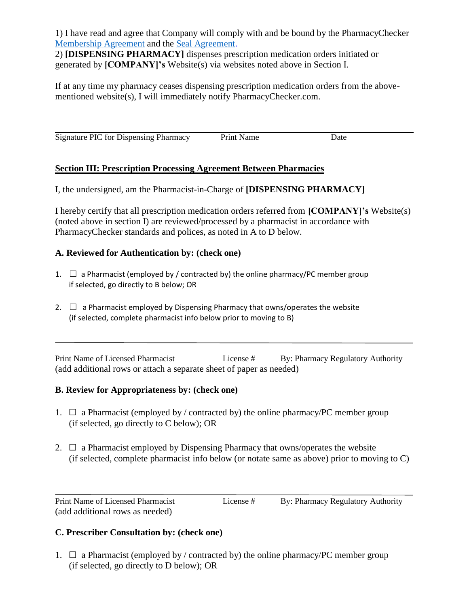1) I have read and agree that Company will comply with and be bound by the PharmacyChecker [Membership Agreement](https://www.pharmacychecker.com/pdf/membership_agreement_4.30.17.pdf) and the [Seal Agreement.](https://www.pharmacychecker.com/pdf/seal_agreement_4.30.17.pdf)

2) **[DISPENSING PHARMACY]** dispenses prescription medication orders initiated or generated by **[COMPANY]'s** Website(s) via websites noted above in Section I.

If at any time my pharmacy ceases dispensing prescription medication orders from the abovementioned website(s), I will immediately notify PharmacyChecker.com.

Signature PIC for Dispensing Pharmacy Print Name Date

## **Section III: Prescription Processing Agreement Between Pharmacies**

I, the undersigned, am the Pharmacist-in-Charge of **[DISPENSING PHARMACY]** 

I hereby certify that all prescription medication orders referred from **[COMPANY]'s** Website(s) (noted above in section I) are reviewed/processed by a pharmacist in accordance with PharmacyChecker standards and polices, as noted in A to D below.

## **A. Reviewed for Authentication by: (check one)**

- 1.  $\Box$  a Pharmacist (employed by / contracted by) the online pharmacy/PC member group if selected, go directly to B below; OR
- 2.  $\Box$  a Pharmacist employed by Dispensing Pharmacy that owns/operates the website (if selected, complete pharmacist info below prior to moving to B)

Print Name of Licensed Pharmacist License # By: Pharmacy Regulatory Authority (add additional rows or attach a separate sheet of paper as needed)

## **B. Review for Appropriateness by: (check one)**

- 1.  $\Box$  a Pharmacist (employed by / contracted by) the online pharmacy/PC member group (if selected, go directly to C below); OR
- 2.  $\Box$  a Pharmacist employed by Dispensing Pharmacy that owns/operates the website (if selected, complete pharmacist info below (or notate same as above) prior to moving to C)

Print Name of Licensed Pharmacist License # By: Pharmacy Regulatory Authority (add additional rows as needed)

 $\overline{\phantom{a}}$ 

 $\overline{a}$ 

## **C. Prescriber Consultation by: (check one)**

1.  $\Box$  a Pharmacist (employed by / contracted by) the online pharmacy/PC member group (if selected, go directly to D below); OR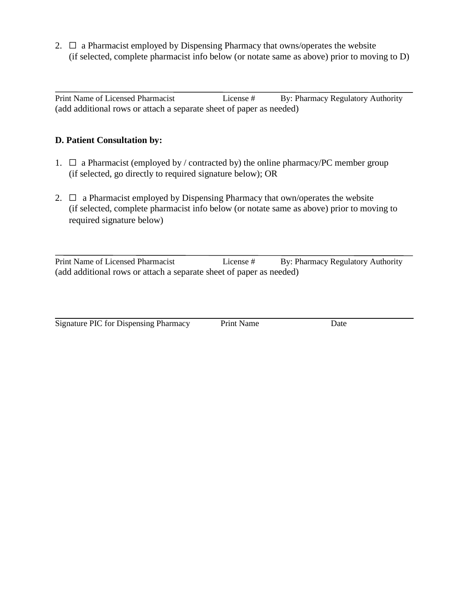2.  $\Box$  a Pharmacist employed by Dispensing Pharmacy that owns/operates the website (if selected, complete pharmacist info below (or notate same as above) prior to moving to D)

 $\overline{a}$ Print Name of Licensed Pharmacist License # By: Pharmacy Regulatory Authority (add additional rows or attach a separate sheet of paper as needed)

## **D. Patient Consultation by:**

- 1.  $\Box$  a Pharmacist (employed by / contracted by) the online pharmacy/PC member group (if selected, go directly to required signature below); OR
- 2.  $\Box$  a Pharmacist employed by Dispensing Pharmacy that own/operates the website (if selected, complete pharmacist info below (or notate same as above) prior to moving to required signature below)

 $\overline{a}$ Print Name of Licensed Pharmacist License # By: Pharmacy Regulatory Authority (add additional rows or attach a separate sheet of paper as needed)

Signature PIC for Dispensing Pharmacy Print Name Date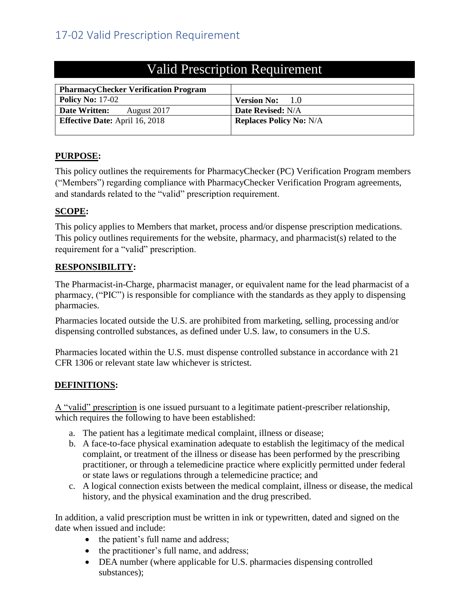<span id="page-34-0"></span>

| <b>PharmacyChecker Verification Program</b> |                                |
|---------------------------------------------|--------------------------------|
| <b>Policy No: 17-02</b>                     | <b>Version No:</b><br>1.0      |
| Date Written:<br>August 2017                | <b>Date Revised: N/A</b>       |
| <b>Effective Date:</b> April 16, 2018       | <b>Replaces Policy No: N/A</b> |
|                                             |                                |

# Valid Prescription Requirement

## **PURPOSE:**

This policy outlines the requirements for PharmacyChecker (PC) Verification Program members ("Members") regarding compliance with PharmacyChecker Verification Program agreements, and standards related to the "valid" prescription requirement.

## **SCOPE:**

This policy applies to Members that market, process and/or dispense prescription medications. This policy outlines requirements for the website, pharmacy, and pharmacist(s) related to the requirement for a "valid" prescription.

# **RESPONSIBILITY:**

The Pharmacist-in-Charge, pharmacist manager, or equivalent name for the lead pharmacist of a pharmacy, ("PIC") is responsible for compliance with the standards as they apply to dispensing pharmacies.

Pharmacies located outside the U.S. are prohibited from marketing, selling, processing and/or dispensing controlled substances, as defined under U.S. law, to consumers in the U.S.

Pharmacies located within the U.S. must dispense controlled substance in accordance with 21 CFR 1306 or relevant state law whichever is strictest.

# **DEFINITIONS:**

A "valid" prescription is one issued pursuant to a legitimate patient-prescriber relationship, which requires the following to have been established:

- a. The patient has a legitimate medical complaint, illness or disease;
- b. A face-to-face physical examination adequate to establish the legitimacy of the medical complaint, or treatment of the illness or disease has been performed by the prescribing practitioner, or through a telemedicine practice where explicitly permitted under federal or state laws or regulations through a telemedicine practice; and
- c. A logical connection exists between the medical complaint, illness or disease, the medical history, and the physical examination and the drug prescribed.

In addition, a valid prescription must be written in ink or typewritten, dated and signed on the date when issued and include:

- the patient's full name and address;
- the practitioner's full name, and address;
- DEA number (where applicable for U.S. pharmacies dispensing controlled substances);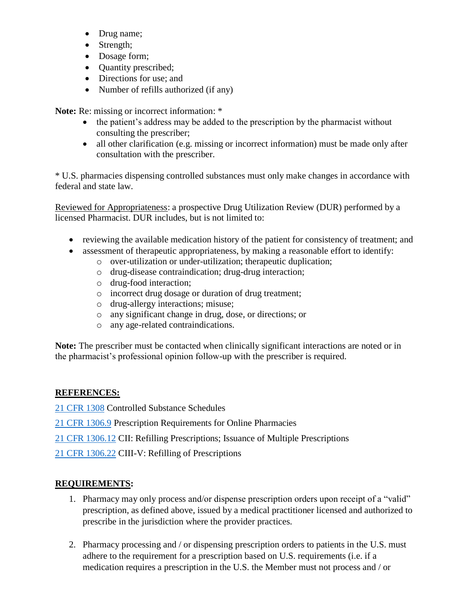- Drug name;
- Strength;
- Dosage form;
- Quantity prescribed;
- Directions for use; and
- Number of refills authorized (if any)

**Note:** Re: missing or incorrect information: \*

- the patient's address may be added to the prescription by the pharmacist without consulting the prescriber;
- all other clarification (e.g. missing or incorrect information) must be made only after consultation with the prescriber.

\* U.S. pharmacies dispensing controlled substances must only make changes in accordance with federal and state law.

Reviewed for Appropriateness: a prospective Drug Utilization Review (DUR) performed by a licensed Pharmacist. DUR includes, but is not limited to:

- reviewing the available medication history of the patient for consistency of treatment; and
- assessment of therapeutic appropriateness, by making a reasonable effort to identify:
	- o over-utilization or under-utilization; therapeutic duplication;
	- o drug-disease contraindication; drug-drug interaction;
	- o drug-food interaction;
	- o incorrect drug dosage or duration of drug treatment;
	- o drug-allergy interactions; misuse;
	- o any significant change in drug, dose, or directions; or
	- o any age-related contraindications.

**Note:** The prescriber must be contacted when clinically significant interactions are noted or in the pharmacist's professional opinion follow-up with the prescriber is required.

# **REFERENCES:**

[21 CFR 1308](http://www.deadiversion.usdoj.gov/21cfr/cfr/2108cfrt.htm) Controlled Substance Schedules

[21 CFR 1306.9](http://www.deadiversion.usdoj.gov/21cfr/cfr/1306/1306_09.htm) Prescription Requirements for Online Pharmacies

[21 CFR 1306.12](http://www.deadiversion.usdoj.gov/21cfr/cfr/1306/1306_12.htm) CII: Refilling Prescriptions; Issuance of Multiple Prescriptions

[21 CFR 1306.22](http://www.deadiversion.usdoj.gov/21cfr/cfr/1306/1306_22.htm) CIII-V: Refilling of Prescriptions

# **REQUIREMENTS:**

- 1. Pharmacy may only process and/or dispense prescription orders upon receipt of a "valid" prescription, as defined above, issued by a medical practitioner licensed and authorized to prescribe in the jurisdiction where the provider practices.
- 2. Pharmacy processing and / or dispensing prescription orders to patients in the U.S. must adhere to the requirement for a prescription based on U.S. requirements (i.e. if a medication requires a prescription in the U.S. the Member must not process and / or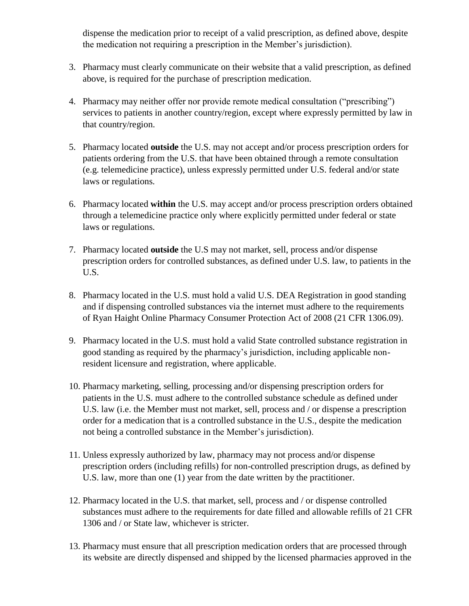dispense the medication prior to receipt of a valid prescription, as defined above, despite the medication not requiring a prescription in the Member's jurisdiction).

- 3. Pharmacy must clearly communicate on their website that a valid prescription, as defined above, is required for the purchase of prescription medication.
- 4. Pharmacy may neither offer nor provide remote medical consultation ("prescribing") services to patients in another country/region, except where expressly permitted by law in that country/region.
- 5. Pharmacy located **outside** the U.S. may not accept and/or process prescription orders for patients ordering from the U.S. that have been obtained through a remote consultation (e.g. telemedicine practice), unless expressly permitted under U.S. federal and/or state laws or regulations.
- 6. Pharmacy located **within** the U.S. may accept and/or process prescription orders obtained through a telemedicine practice only where explicitly permitted under federal or state laws or regulations.
- 7. Pharmacy located **outside** the U.S may not market, sell, process and/or dispense prescription orders for controlled substances, as defined under U.S. law, to patients in the U.S.
- 8. Pharmacy located in the U.S. must hold a valid U.S. DEA Registration in good standing and if dispensing controlled substances via the internet must adhere to the requirements of Ryan Haight Online Pharmacy Consumer Protection Act of 2008 (21 CFR 1306.09).
- 9. Pharmacy located in the U.S. must hold a valid State controlled substance registration in good standing as required by the pharmacy's jurisdiction, including applicable nonresident licensure and registration, where applicable.
- 10. Pharmacy marketing, selling, processing and/or dispensing prescription orders for patients in the U.S. must adhere to the controlled substance schedule as defined under U.S. law (i.e. the Member must not market, sell, process and / or dispense a prescription order for a medication that is a controlled substance in the U.S., despite the medication not being a controlled substance in the Member's jurisdiction).
- 11. Unless expressly authorized by law, pharmacy may not process and/or dispense prescription orders (including refills) for non-controlled prescription drugs, as defined by U.S. law, more than one (1) year from the date written by the practitioner.
- 12. Pharmacy located in the U.S. that market, sell, process and / or dispense controlled substances must adhere to the requirements for date filled and allowable refills of 21 CFR 1306 and / or State law, whichever is stricter.
- 13. Pharmacy must ensure that all prescription medication orders that are processed through its website are directly dispensed and shipped by the licensed pharmacies approved in the